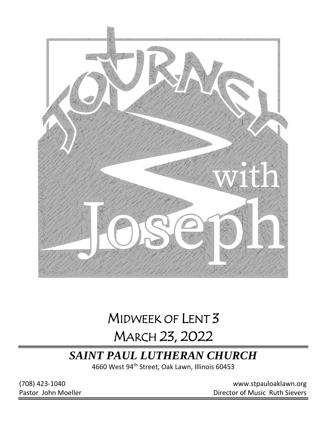

# MIDWEEK OF LENT 3 MARCH 23, 2022

# *SAINT PAUL LUTHERAN CHURCH*

4660 West 94<sup>th</sup> Street, Oak Lawn, Illinois 60453

(708) 423-1040 [www.stpauloaklawn.org](about:blank) Pastor John Moeller **Director of Music Ruth Sievers**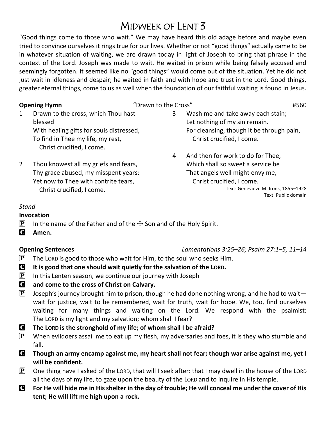# MIDWEEK OF LENT 3

"Good things come to those who wait." We may have heard this old adage before and maybe even tried to convince ourselves it rings true for our lives. Whether or not "good things" actually came to be in whatever situation of waiting, we are drawn today in light of Joseph to bring that phrase in the context of the Lord. Joseph was made to wait. He waited in prison while being falsely accused and seemingly forgotten. It seemed like no "good things" would come out of the situation. Yet he did not just wait in idleness and despair; he waited in faith and with hope and trust in the Lord. Good things, greater eternal things, come to us as well when the foundation of our faithful waiting is found in Jesus.

**Opening Hymn**  $\qquad$  "Drawn to the Cross"  $\qquad$  #560

- 1 Drawn to the cross, which Thou hast blessed With healing gifts for souls distressed, To find in Thee my life, my rest, Christ crucified, I come.
- 2 Thou knowest all my griefs and fears, Thy grace abused, my misspent years; Yet now to Thee with contrite tears, Christ crucified, I come.
- 3 Wash me and take away each stain; Let nothing of my sin remain. For cleansing, though it be through pain, Christ crucified, I come.
- 4 And then for work to do for Thee, Which shall so sweet a service be That angels well might envy me, Christ crucified, I come.

Text: Genevieve M. Irons, 1855–1928 Text: Public domain

# *Stand*

# **Invocation**

- **P** In the name of the Father and of the  $\pm$  Son and of the Holy Spirit.
- C **Amen.**

**Opening Sentences** *Lamentations 3:25–26; Psalm 27:1–5, 11–14*

- **P** The LORD is good to those who wait for Him, to the soul who seeks Him.
- C **It is good that one should wait quietly for the salvation of the LORD.**
- $\left| \mathbf{P} \right|$  In this Lenten season, we continue our journey with Joseph
- C **and come to the cross of Christ on Calvary.**
- $\left[\mathbf{P}\right]$  Joseph's journey brought him to prison, though he had done nothing wrong, and he had to wait wait for justice, wait to be remembered, wait for truth, wait for hope. We, too, find ourselves waiting for many things and waiting on the Lord. We respond with the psalmist: The LORD is my light and my salvation; whom shall I fear?
- **C** The LORD is the stronghold of my life; of whom shall I be afraid?
- $\mathbf{P}$  When evildoers assail me to eat up my flesh, my adversaries and foes, it is they who stumble and fall.
- C **Though an army encamp against me, my heart shall not fear; though war arise against me, yet I will be confident.**
- $\mathbf{P}$  One thing have I asked of the LORD, that will I seek after: that I may dwell in the house of the LORD all the days of my life, to gaze upon the beauty of the LORD and to inquire in His temple.
- **C** For He will hide me in His shelter in the day of trouble; He will conceal me under the cover of His **tent; He will lift me high upon a rock.**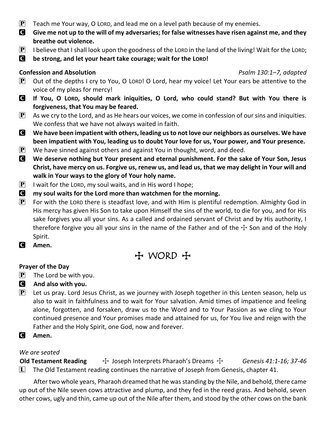- $\mathbf{P}$  Teach me Your way, O LORD, and lead me on a level path because of my enemies.
- C **Give me not up to the will of my adversaries; for false witnesses have risen against me, and they breathe out violence.**
- **P** I believe that I shall look upon the goodness of the LORD in the land of the living! Wait for the LORD;
- C **be strong, and let your heart take courage; wait for the LORD!**

# **Confession and Absolution** *Psalm 130:1–7, adapted*

- $\mathbf{P}$  Out of the depths I cry to You, O LORD! O Lord, hear my voice! Let Your ears be attentive to the voice of my pleas for mercy!
- C **If You, O LORD, should mark iniquities, O Lord, who could stand? But with You there is forgiveness, that You may be feared.**
- $\mathbf{P}$  As we cry to the Lord, and as He hears our voices, we come in confession of our sins and iniquities. We confess that we have not always waited in faith.
- C **We have been impatient with others, leading us to not love our neighbors as ourselves. We have been impatient with You, leading us to doubt Your love for us, Your power, and Your presence.**
- $\mathbf{P}$  We have sinned against others and against You in thought, word, and deed.
- C **We deserve nothing but Your present and eternal punishment. For the sake of Your Son, Jesus Christ, have mercy on us. Forgive us, renew us, and lead us, that we may delight in Your will and walk in Your ways to the glory of Your holy name.**
- **P** I wait for the LORD, my soul waits, and in His word I hope;
- C **my soul waits for the Lord more than watchmen for the morning.**
- $\mathbf{P}$  For with the LORD there is steadfast love, and with Him is plentiful redemption. Almighty God in His mercy has given His Son to take upon Himself the sins of the world, to die for you, and for His sake forgives you all your sins. As a called and ordained servant of Christ and by His authority, I therefore forgive you all your sins in the name of the Father and of the  $\pm$  Son and of the Holy Spirit.
- C **Amen.**

 $H$  WORD  $H$ 

# **Prayer of the Day**

- $\left| \mathbf{P} \right|$  The Lord be with you.
- C **And also with you.**
- $\mathbf{P}$  Let us pray. Lord Jesus Christ, as we journey with Joseph together in this Lenten season, help us also to wait in faithfulness and to wait for Your salvation. Amid times of impatience and feeling alone, forgotten, and forsaken, draw us to the Word and to Your Passion as we cling to Your continued presence and Your promises made and attained for us, for You live and reign with the Father and the Holy Spirit, one God, now and forever.
- C **Amen.**

# *We are seated*

**Old Testament Reading**  $\div$  Joseph Interprets Pharaoh's Dreams  $\div$  *Genesis 41:1-16; 37-46*  $\Box$  The Old Testament reading continues the narrative of Joseph from Genesis, chapter 41.

After two whole years, Pharaoh dreamed that he was standing by the Nile, and behold, there came up out of the Nile seven cows attractive and plump, and they fed in the reed grass. And behold, seven other cows, ugly and thin, came up out of the Nile after them, and stood by the other cows on the bank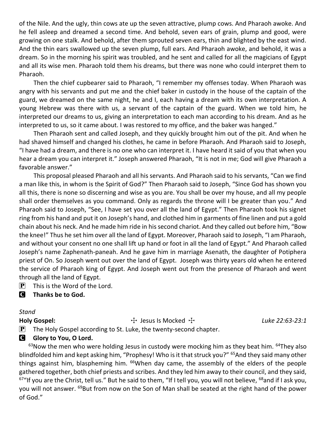of the Nile. And the ugly, thin cows ate up the seven attractive, plump cows. And Pharaoh awoke. And he fell asleep and dreamed a second time. And behold, seven ears of grain, plump and good, were growing on one stalk. And behold, after them sprouted seven ears, thin and blighted by the east wind. And the thin ears swallowed up the seven plump, full ears. And Pharaoh awoke, and behold, it was a dream. So in the morning his spirit was troubled, and he sent and called for all the magicians of Egypt and all its wise men. Pharaoh told them his dreams, but there was none who could interpret them to Pharaoh.

Then the chief cupbearer said to Pharaoh, "I remember my offenses today. When Pharaoh was angry with his servants and put me and the chief baker in custody in the house of the captain of the guard, we dreamed on the same night, he and I, each having a dream with its own interpretation. A young Hebrew was there with us, a servant of the captain of the guard. When we told him, he interpreted our dreams to us, giving an interpretation to each man according to his dream. And as he interpreted to us, so it came about. I was restored to my office, and the baker was hanged."

Then Pharaoh sent and called Joseph, and they quickly brought him out of the pit. And when he had shaved himself and changed his clothes, he came in before Pharaoh. And Pharaoh said to Joseph, "I have had a dream, and there is no one who can interpret it. I have heard it said of you that when you hear a dream you can interpret it." Joseph answered Pharaoh, "It is not in me; God will give Pharaoh a favorable answer."

This proposal pleased Pharaoh and all his servants. And Pharaoh said to his servants, "Can we find a man like this, in whom is the Spirit of God?" Then Pharaoh said to Joseph, "Since God has shown you all this, there is none so discerning and wise as you are. You shall be over my house, and all my people shall order themselves as you command. Only as regards the throne will I be greater than you." And Pharaoh said to Joseph, "See, I have set you over all the land of Egypt." Then Pharaoh took his signet ring from his hand and put it on Joseph's hand, and clothed him in garments of fine linen and put a gold chain about his neck. And he made him ride in his second chariot. And they called out before him, "Bow the knee!" Thus he set him over all the land of Egypt. Moreover, Pharaoh said to Joseph, "I am Pharaoh, and without your consent no one shall lift up hand or foot in all the land of Egypt." And Pharaoh called Joseph's name Zaphenath-paneah. And he gave him in marriage Asenath, the daughter of Potiphera priest of On. So Joseph went out over the land of Egypt. Joseph was thirty years old when he entered the service of Pharaoh king of Egypt. And Joseph went out from the presence of Pharaoh and went through all the land of Egypt.

 $\left| \mathbf{P} \right|$  This is the Word of the Lord.

# C **Thanks be to God.**

### *Stand*

Holy Gospel: **The Cospel:** The Supersystem of the United States of the *Luke 22:63-23:1* 

 $\mathbf{P}$  The Holy Gospel according to St. Luke, the twenty-second chapter.

# **G** Glory to You, O Lord.

 $63$ Now the men who were holding Jesus in custody were mocking him as they beat him.  $64$ They also blindfolded him and kept asking him, "Prophesy! Who is it that struck you?" <sup>65</sup>And they said many other things against him, blaspheming him. <sup>66</sup>When day came, the assembly of the elders of the people gathered together, both chief priests and scribes. And they led him away to their council, and they said,  $67$ "If you are the Christ, tell us." But he said to them, "If I tell you, you will not believe,  $68$  and if I ask you, you will not answer. <sup>69</sup>But from now on the Son of Man shall be seated at the right hand of the power of God."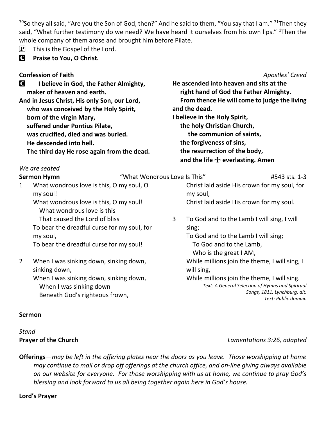<sup>70</sup>So they all said, "Are you the Son of God, then?" And he said to them, "You say that I am." <sup>71</sup>Then they said, "What further testimony do we need? We have heard it ourselves from his own lips." <sup>1</sup>Then the whole company of them arose and brought him before Pilate.

- $\left[ \mathbf{P} \right]$  This is the Gospel of the Lord.
- C **Praise to You, O Christ.**

# **Confession of Faith** *Apostles' Creed*

| a<br>maker of heaven and earth.                                                                     | I believe in God, the Father Almighty,     | He ascended into heaven and sits at the<br>right hand of God the Father Almighty. |               |
|-----------------------------------------------------------------------------------------------------|--------------------------------------------|-----------------------------------------------------------------------------------|---------------|
| And in Jesus Christ, His only Son, our Lord,                                                        |                                            | From thence He will come to judge the living                                      |               |
| who was conceived by the Holy Spirit,<br>born of the virgin Mary,<br>suffered under Pontius Pilate, |                                            | and the dead.<br>I believe in the Holy Spirit,<br>the holy Christian Church,      |               |
| was crucified, died and was buried.<br>He descended into hell.                                      |                                            | the communion of saints,<br>the forgiveness of sins,                              |               |
|                                                                                                     | The third day He rose again from the dead. | the resurrection of the body,<br>and the life $\bigoplus$ everlasting. Amen       |               |
| We are seated                                                                                       |                                            |                                                                                   |               |
| Sermon Hymn                                                                                         |                                            | "What Wondrous Love Is This"                                                      | #543 sts. 1-3 |
| $\mathbf{1}$<br>my soul!                                                                            | What wondrous love is this, O my soul, O   | Christ laid aside His crown for my soul, for<br>my soul,                          |               |
| What wondrous love is this                                                                          | What wondrous love is this, O my soul!     | Christ laid aside His crown for my soul.                                          |               |

 That caused the Lord of bliss To bear the dreadful curse for my soul, for my soul,

To bear the dreadful curse for my soul!

2 When I was sinking down, sinking down, sinking down, When I was sinking down, sinking down, When I was sinking down Beneath God's righteous frown,

# **d** into heaven and sits at the **nd of God the Father Almighty. From He will come to judge the living ad. In the Holy Spirit,**

3 To God and to the Lamb I will sing, I will sing; To God and to the Lamb I will sing; To God and to the Lamb, Who is the great I AM, While millions join the theme, I will sing, I will sing, While millions join the theme, I will sing. *Text: A General Selection of Hymns and Spiritual Songs, 1811, Lynchburg, alt.*

*Text: Public domain*

### **Sermon**

# *Stand*

**Prayer of the Church** *Lamentations 3:26, adapted*

**Offerings***—may be left in the offering plates near the doors as you leave. Those worshipping at home may continue to mail or drop off offerings at the church office, and on-line giving always available on our website for everyone. For those worshipping with us at home, we continue to pray God's blessing and look forward to us all being together again here in God's house.*

**Lord's Prayer**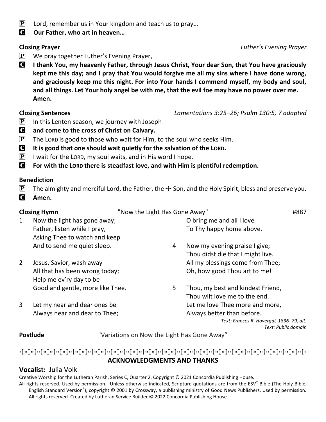- $\mathbf{P}$  Lord, remember us in Your kingdom and teach us to pray...
- C **Our Father, who art in heaven…**

- $\left[ \mathbf{P} \right]$  We pray together Luther's Evening Prayer,
- C **I thank You, my heavenly Father, through Jesus Christ, Your dear Son, that You have graciously kept me this day; and I pray that You would forgive me all my sins where I have done wrong, and graciously keep me this night. For into Your hands I commend myself, my body and soul, and all things. Let Your holy angel be with me, that the evil foe may have no power over me. Amen.**

- **Closing Sentences** *Lamentations 3:25–26; Psalm 130:5, 7 adapted*
- $\mathbf{P}$  In this Lenten season, we journey with Joseph
- C **and come to the cross of Christ on Calvary.**
- **P** The LORD is good to those who wait for Him, to the soul who seeks Him.
- C **It is good that one should wait quietly for the salvation of the LORD.**
- **P** I wait for the LORD, my soul waits, and in His word I hope.
- C **For with the LORD there is steadfast love, and with Him is plentiful redemption.**

### **Benediction**

- **P** The almighty and merciful Lord, the Father, the  $\pm$  Son, and the Holy Spirit, bless and preserve you.
- C **Amen.**

|                 | <b>Closing Hymn</b>              | "Now the Light Has Gone Away"               | #887 |
|-----------------|----------------------------------|---------------------------------------------|------|
| $\mathbf 1$     | Now the light has gone away;     | O bring me and all I love                   |      |
|                 | Father, listen while I pray,     | To Thy happy home above.                    |      |
|                 | Asking Thee to watch and keep    |                                             |      |
|                 | And to send me quiet sleep.      | 4<br>Now my evening praise I give;          |      |
|                 |                                  | Thou didst die that I might live.           |      |
| 2               | Jesus, Savior, wash away         | All my blessings come from Thee;            |      |
|                 | All that has been wrong today;   | Oh, how good Thou art to me!                |      |
|                 | Help me ev'ry day to be          |                                             |      |
|                 | Good and gentle, more like Thee. | 5<br>Thou, my best and kindest Friend,      |      |
|                 |                                  | Thou wilt love me to the end.               |      |
| 3               | Let my near and dear ones be     | Let me love Thee more and more,             |      |
|                 | Always near and dear to Thee;    | Always better than before.                  |      |
|                 |                                  | Text: Frances R. Havergal, 1836-79, alt.    |      |
|                 |                                  | Text: Public domain                         |      |
| <b>Postlude</b> |                                  | "Variations on Now the Light Has Gone Away" |      |

# TTTTTTTTTTTTTTTTTTTTTTTTTTTTTTTTTTTTTTTTTTTTT **ACKNOWLEDGMENTS AND THANKS**

### **Vocalist:** Julia Volk

Creative Worship for the Lutheran Parish, Series C, Quarter 2. Copyright © 2021 Concordia Publishing House.

All rights reserved. Used by permission. Unless otherwise indicated, Scripture quotations are from the ESV<sup>®</sup> Bible (The Holy Bible, English Standard Version® ), copyright © 2001 by Crossway, a publishing ministry of Good News Publishers. Used by permission. All rights reserved. Created by Lutheran Service Builder © 2022 Concordia Publishing House.

**Closing Prayer** *Luther's Evening Prayer*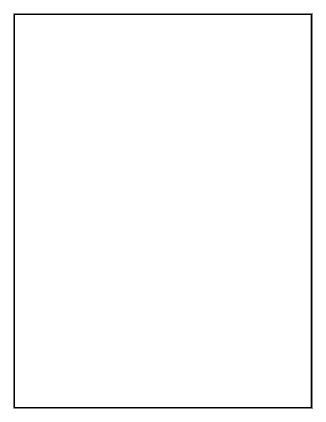